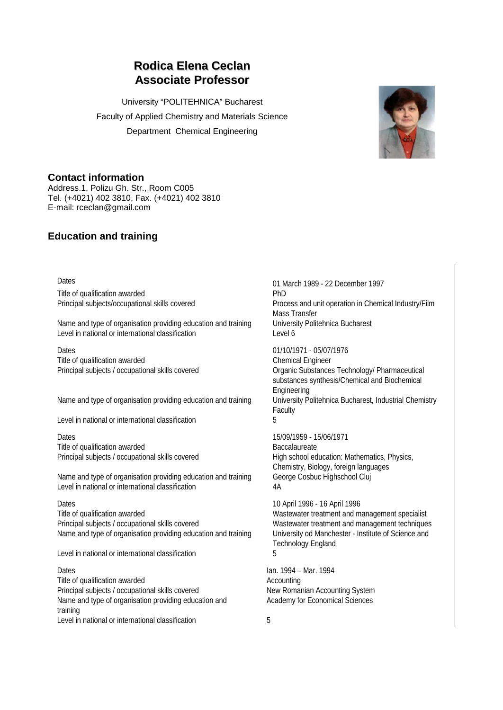# **Rodica Elena Ceclan Associate Professor**

University "POLITEHNICA" Bucharest Faculty of Applied Chemistry and Materials Science Department Chemical Engineering



## **Contact information**

Address.1, Polizu Gh. Str., Room C005 Tel. (+4021) 402 3810, Fax. (+4021) 402 3810 E-mail: rceclan@gmail.com

## **Education and training**

Title of qualification awarded **PhD** 

Name and type of organisation providing education and training University Politehnica Bucharest Level in national or international classification Level 6

Dates 01/10/1971 - 05/07/1976 Title of qualification awarded Chemical Engineer

Name and type of organisation providing education and training University Politehnica Bucharest, Industrial Chemistry

Level in national or international classification 5

Dates 15/09/1959 - 15/06/1971 Title of qualification awarded Baccalaureate

Name and type of organisation providing education and training George Cosbuc Highschool Cluj Level in national or international classification 4A

Title of qualification awarded Wastewater treatment and management specialist Principal subjects / occupational skills covered Wastewater treatment and management techniques Name and type of organisation providing education and training University od Manchester - Institute of Science and

Level in national or international classification **5** 

Title of qualification awarded Accounting Principal subjects / occupational skills covered New Romanian Accounting System Name and type of organisation providing education and training Level in national or international classification 65

Dates 01 March 1989 - 22 December 1997 Principal subjects/occupational skills covered Process and unit operation in Chemical Industry/Film Mass Transfer

Principal subjects / occupational skills covered Organic Substances Technology/ Pharmaceutical substances synthesis/Chemical and Biochemical Engineering Faculty

Principal subjects / occupational skills covered High school education: Mathematics, Physics, Chemistry, Biology, foreign languages

Dates 10 April 1996 - 16 April 1996 Technology England

Dates Ian. 1994 – Mar. 1994 Academy for Economical Sciences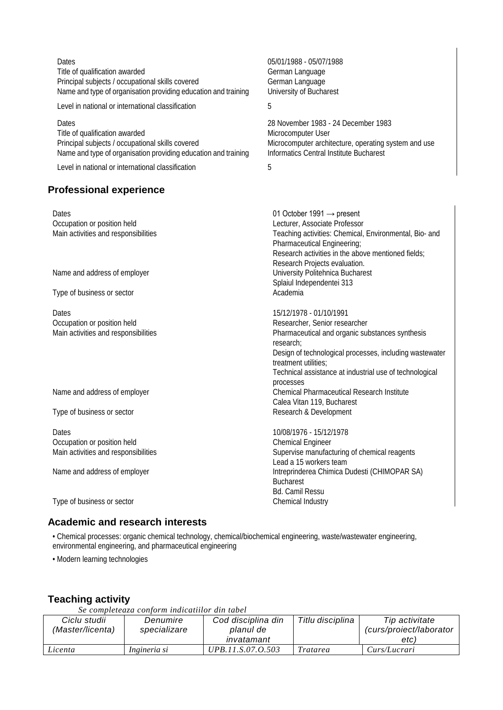Dates 05/01/1988 - 05/07/1988 Title of qualification awarded German Language Principal subjects / occupational skills covered German Language Name and type of organisation providing education and training University of Bucharest

Level in national or international classification **5** 

Dates 28 November 1983 - 24 December 1983 Title of qualification awarded<br>
Principal subjects / occupational skills covered<br>
Microcomputer archit Name and type of organisation providing education and training

Level in national or international classification **5** 

## **Professional experience**

Microcomputer architecture, operating system and use<br>Informatics Central Institute Bucharest

| Dates                                | 01 October 1991 $\rightarrow$ present                                                 |  |  |  |
|--------------------------------------|---------------------------------------------------------------------------------------|--|--|--|
| Occupation or position held          | Lecturer, Associate Professor                                                         |  |  |  |
| Main activities and responsibilities | Teaching activities: Chemical, Environmental, Bio- and<br>Pharmaceutical Engineering; |  |  |  |
|                                      | Research activities in the above mentioned fields;                                    |  |  |  |
|                                      | Research Projects evaluation.                                                         |  |  |  |
| Name and address of employer         | University Politehnica Bucharest                                                      |  |  |  |
|                                      | Splaiul Independentei 313                                                             |  |  |  |
| Type of business or sector           | Academia                                                                              |  |  |  |
| Dates                                | 15/12/1978 - 01/10/1991                                                               |  |  |  |
| Occupation or position held          | Researcher, Senior researcher                                                         |  |  |  |
| Main activities and responsibilities | Pharmaceutical and organic substances synthesis                                       |  |  |  |
|                                      | research:                                                                             |  |  |  |
|                                      | Design of technological processes, including wastewater                               |  |  |  |
|                                      | treatment utilities:                                                                  |  |  |  |
|                                      | Technical assistance at industrial use of technological                               |  |  |  |
|                                      | processes                                                                             |  |  |  |
| Name and address of employer         | <b>Chemical Pharmaceutical Research Institute</b>                                     |  |  |  |
|                                      | Calea Vitan 119, Bucharest                                                            |  |  |  |
| Type of business or sector           | Research & Development                                                                |  |  |  |
| Dates                                | 10/08/1976 - 15/12/1978                                                               |  |  |  |
| Occupation or position held          | <b>Chemical Engineer</b>                                                              |  |  |  |
| Main activities and responsibilities | Supervise manufacturing of chemical reagents                                          |  |  |  |
|                                      | Lead a 15 workers team                                                                |  |  |  |
| Name and address of employer         | Intreprinderea Chimica Dudesti (CHIMOPAR SA)                                          |  |  |  |
|                                      | <b>Bucharest</b>                                                                      |  |  |  |
|                                      | <b>Bd. Camil Ressu</b>                                                                |  |  |  |
| Type of business or sector           | Chemical Industry                                                                     |  |  |  |
|                                      |                                                                                       |  |  |  |

## **Academic and research interests**

• Chemical processes: organic chemical technology, chemical/biochemical engineering, waste/wastewater engineering, environmental engineering, and pharmaceutical engineering

• Modern learning technologies

## **Teaching activity**

*Se completeaza conform indicatiilor din tabel*

| Ciclu studii<br>(Master/licenta) | Denumire<br>specializare | Cod disciplina din<br>planul de | Titlu disciplina | Tip activitate<br>curs/proiect/laborator |
|----------------------------------|--------------------------|---------------------------------|------------------|------------------------------------------|
|                                  |                          | invatamant                      |                  | etc)                                     |
| Licenta                          | Ingineria si             | UPB.11.S.07.O.503               | Tratarea         | Curs/Lucrari                             |